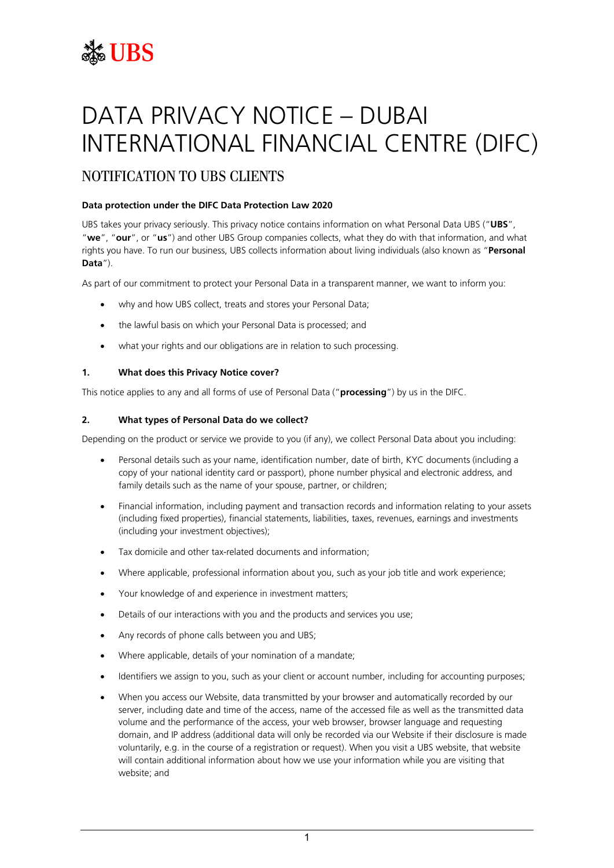# **SEE UBS**

# DATA PRIVACY NOTICE – DUBAI INTERNATIONAL FINANCIAL CENTRE (DIFC)

# NOTIFICATION TO UBS CLIENTS

# **Data protection under the DIFC Data Protection Law 2020**

UBS takes your privacy seriously. This privacy notice contains information on what Personal Data UBS ("**UBS**", "**we**", "**our**", or "**us**") and other UBS Group companies collects, what they do with that information, and what rights you have. To run our business, UBS collects information about living individuals (also known as "**Personal Data**").

As part of our commitment to protect your Personal Data in a transparent manner, we want to inform you:

- why and how UBS collect, treats and stores your Personal Data;
- the lawful basis on which your Personal Data is processed; and
- what your rights and our obligations are in relation to such processing.

# **1. What does this Privacy Notice cover?**

This notice applies to any and all forms of use of Personal Data ("**processing**") by us in the DIFC.

# **2. What types of Personal Data do we collect?**

Depending on the product or service we provide to you (if any), we collect Personal Data about you including:

- Personal details such as your name, identification number, date of birth, KYC documents (including a copy of your national identity card or passport), phone number physical and electronic address, and family details such as the name of your spouse, partner, or children;
- Financial information, including payment and transaction records and information relating to your assets (including fixed properties), financial statements, liabilities, taxes, revenues, earnings and investments (including your investment objectives);
- Tax domicile and other tax-related documents and information;
- Where applicable, professional information about you, such as your job title and work experience;
- Your knowledge of and experience in investment matters;
- Details of our interactions with you and the products and services you use;
- Any records of phone calls between you and UBS;
- Where applicable, details of your nomination of a mandate;
- Identifiers we assign to you, such as your client or account number, including for accounting purposes;
- When you access our Website, data transmitted by your browser and automatically recorded by our server, including date and time of the access, name of the accessed file as well as the transmitted data volume and the performance of the access, your web browser, browser language and requesting domain, and IP address (additional data will only be recorded via our Website if their disclosure is made voluntarily, e.g. in the course of a registration or request). When you visit a UBS website, that website will contain additional information about how we use your information while you are visiting that website; and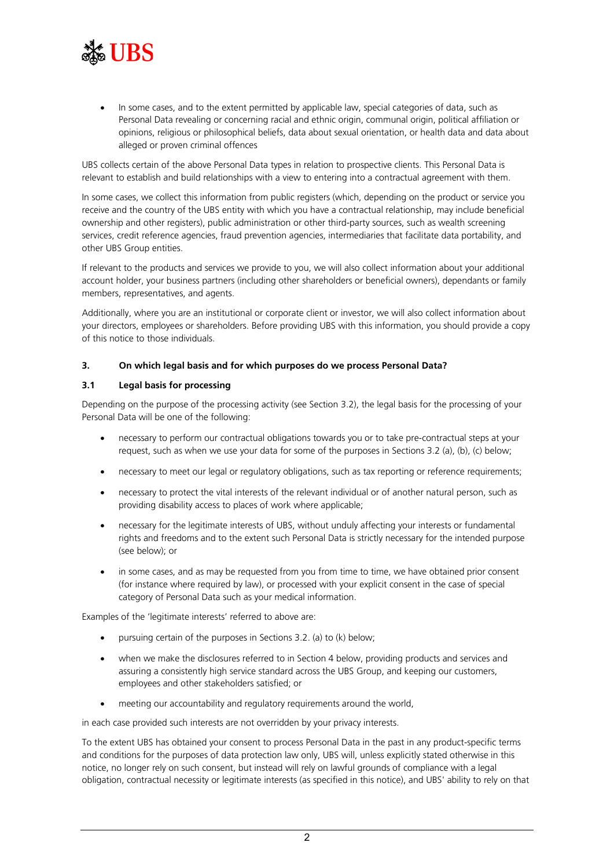

• In some cases, and to the extent permitted by applicable law, special categories of data, such as Personal Data revealing or concerning racial and ethnic origin, communal origin, political affiliation or opinions, religious or philosophical beliefs, data about sexual orientation, or health data and data about alleged or proven criminal offences

UBS collects certain of the above Personal Data types in relation to prospective clients. This Personal Data is relevant to establish and build relationships with a view to entering into a contractual agreement with them.

In some cases, we collect this information from public registers (which, depending on the product or service you receive and the country of the UBS entity with which you have a contractual relationship, may include beneficial ownership and other registers), public administration or other third-party sources, such as wealth screening services, credit reference agencies, fraud prevention agencies, intermediaries that facilitate data portability, and other UBS Group entities.

If relevant to the products and services we provide to you, we will also collect information about your additional account holder, your business partners (including other shareholders or beneficial owners), dependants or family members, representatives, and agents.

Additionally, where you are an institutional or corporate client or investor, we will also collect information about your directors, employees or shareholders. Before providing UBS with this information, you should provide a copy of this notice to those individuals.

#### **3. On which legal basis and for which purposes do we process Personal Data?**

#### **3.1 Legal basis for processing**

Depending on the purpose of the processing activity (see Section 3.2), the legal basis for the processing of your Personal Data will be one of the following:

- necessary to perform our contractual obligations towards you or to take pre-contractual steps at your request, such as when we use your data for some of the purposes in Sections [3.2](#page-2-0) [\(a\),](#page-2-1) [\(b\),](#page-2-2) [\(c\)](#page-2-3) below;
- necessary to meet our legal or regulatory obligations, such as tax reporting or reference requirements;
- necessary to protect the vital interests of the relevant individual or of another natural person, such as providing disability access to places of work where applicable;
- necessary for the legitimate interests of UBS, without unduly affecting your interests or fundamental rights and freedoms and to the extent such Personal Data is strictly necessary for the intended purpose (see below); or
- in some cases, and as may be requested from you from time to time, we have obtained prior consent (for instance where required by law), or processed with your explicit consent in the case of special category of Personal Data such as your medical information.

Examples of the 'legitimate interests' referred to above are:

- pursuing certain of the purposes in Sections 3.2. [\(a\)](#page-2-1) to [\(k\)](#page-3-0) below;
- when we make the disclosures referred to in Section [4](#page-3-1) below, providing products and services and assuring a consistently high service standard across the UBS Group, and keeping our customers, employees and other stakeholders satisfied; or
- meeting our accountability and regulatory requirements around the world,

in each case provided such interests are not overridden by your privacy interests.

To the extent UBS has obtained your consent to process Personal Data in the past in any product-specific terms and conditions for the purposes of data protection law only, UBS will, unless explicitly stated otherwise in this notice, no longer rely on such consent, but instead will rely on lawful grounds of compliance with a legal obligation, contractual necessity or legitimate interests (as specified in this notice), and UBS' ability to rely on that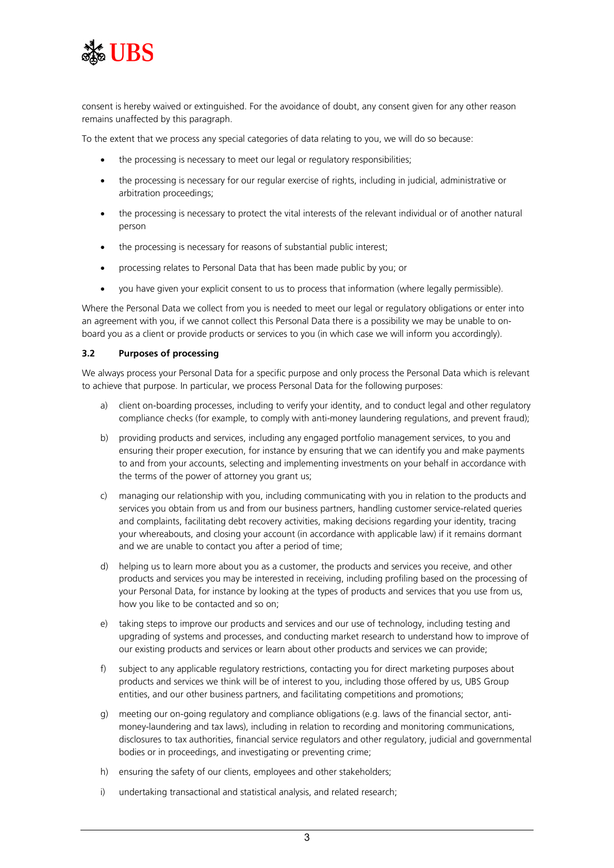

consent is hereby waived or extinguished. For the avoidance of doubt, any consent given for any other reason remains unaffected by this paragraph.

To the extent that we process any special categories of data relating to you, we will do so because:

- the processing is necessary to meet our legal or regulatory responsibilities;
- the processing is necessary for our regular exercise of rights, including in judicial, administrative or arbitration proceedings;
- the processing is necessary to protect the vital interests of the relevant individual or of another natural person
- the processing is necessary for reasons of substantial public interest;
- processing relates to Personal Data that has been made public by you; or
- you have given your explicit consent to us to process that information (where legally permissible).

Where the Personal Data we collect from you is needed to meet our legal or regulatory obligations or enter into an agreement with you, if we cannot collect this Personal Data there is a possibility we may be unable to onboard you as a client or provide products or services to you (in which case we will inform you accordingly).

#### <span id="page-2-0"></span>**3.2 Purposes of processing**

We always process your Personal Data for a specific purpose and only process the Personal Data which is relevant to achieve that purpose. In particular, we process Personal Data for the following purposes:

- <span id="page-2-1"></span>a) client on-boarding processes, including to verify your identity, and to conduct legal and other regulatory compliance checks (for example, to comply with anti-money laundering regulations, and prevent fraud);
- <span id="page-2-2"></span>b) providing products and services, including any engaged portfolio management services, to you and ensuring their proper execution, for instance by ensuring that we can identify you and make payments to and from your accounts, selecting and implementing investments on your behalf in accordance with the terms of the power of attorney you grant us;
- <span id="page-2-3"></span>c) managing our relationship with you, including communicating with you in relation to the products and services you obtain from us and from our business partners, handling customer service-related queries and complaints, facilitating debt recovery activities, making decisions regarding your identity, tracing your whereabouts, and closing your account (in accordance with applicable law) if it remains dormant and we are unable to contact you after a period of time;
- d) helping us to learn more about you as a customer, the products and services you receive, and other products and services you may be interested in receiving, including profiling based on the processing of your Personal Data, for instance by looking at the types of products and services that you use from us, how you like to be contacted and so on;
- e) taking steps to improve our products and services and our use of technology, including testing and upgrading of systems and processes, and conducting market research to understand how to improve of our existing products and services or learn about other products and services we can provide;
- f) subject to any applicable regulatory restrictions, contacting you for direct marketing purposes about products and services we think will be of interest to you, including those offered by us, UBS Group entities, and our other business partners, and facilitating competitions and promotions;
- g) meeting our on-going regulatory and compliance obligations (e.g. laws of the financial sector, antimoney-laundering and tax laws), including in relation to recording and monitoring communications, disclosures to tax authorities, financial service regulators and other regulatory, judicial and governmental bodies or in proceedings, and investigating or preventing crime;
- h) ensuring the safety of our clients, employees and other stakeholders;
- i) undertaking transactional and statistical analysis, and related research;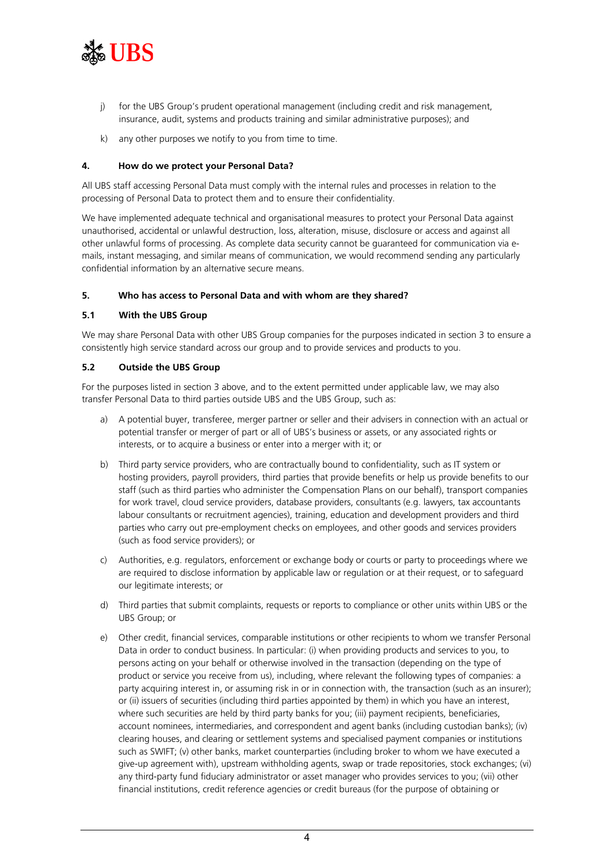

- <span id="page-3-0"></span>j) for the UBS Group's prudent operational management (including credit and risk management, insurance, audit, systems and products training and similar administrative purposes); and
- k) any other purposes we notify to you from time to time.

#### **4. How do we protect your Personal Data?**

All UBS staff accessing Personal Data must comply with the internal rules and processes in relation to the processing of Personal Data to protect them and to ensure their confidentiality.

We have implemented adequate technical and organisational measures to protect your Personal Data against unauthorised, accidental or unlawful destruction, loss, alteration, misuse, disclosure or access and against all other unlawful forms of processing. As complete data security cannot be guaranteed for communication via emails, instant messaging, and similar means of communication, we would recommend sending any particularly confidential information by an alternative secure means.

# <span id="page-3-1"></span>**5. Who has access to Personal Data and with whom are they shared?**

# **5.1 With the UBS Group**

We may share Personal Data with other UBS Group companies for the purposes indicated in section 3 to ensure a consistently high service standard across our group and to provide services and products to you.

#### **5.2 Outside the UBS Group**

For the purposes listed in section 3 above, and to the extent permitted under applicable law, we may also transfer Personal Data to third parties outside UBS and the UBS Group, such as:

- a) A potential buyer, transferee, merger partner or seller and their advisers in connection with an actual or potential transfer or merger of part or all of UBS's business or assets, or any associated rights or interests, or to acquire a business or enter into a merger with it; or
- b) Third party service providers, who are contractually bound to confidentiality, such as IT system or hosting providers, payroll providers, third parties that provide benefits or help us provide benefits to our staff (such as third parties who administer the Compensation Plans on our behalf), transport companies for work travel, cloud service providers, database providers, consultants (e.g. lawyers, tax accountants labour consultants or recruitment agencies), training, education and development providers and third parties who carry out pre-employment checks on employees, and other goods and services providers (such as food service providers); or
- c) Authorities, e.g. regulators, enforcement or exchange body or courts or party to proceedings where we are required to disclose information by applicable law or regulation or at their request, or to safeguard our legitimate interests; or
- d) Third parties that submit complaints, requests or reports to compliance or other units within UBS or the UBS Group; or
- e) Other credit, financial services, comparable institutions or other recipients to whom we transfer Personal Data in order to conduct business. In particular: (i) when providing products and services to you, to persons acting on your behalf or otherwise involved in the transaction (depending on the type of product or service you receive from us), including, where relevant the following types of companies: a party acquiring interest in, or assuming risk in or in connection with, the transaction (such as an insurer); or (ii) issuers of securities (including third parties appointed by them) in which you have an interest, where such securities are held by third party banks for you; (iii) payment recipients, beneficiaries, account nominees, intermediaries, and correspondent and agent banks (including custodian banks); (iv) clearing houses, and clearing or settlement systems and specialised payment companies or institutions such as SWIFT; (v) other banks, market counterparties (including broker to whom we have executed a give-up agreement with), upstream withholding agents, swap or trade repositories, stock exchanges; (vi) any third-party fund fiduciary administrator or asset manager who provides services to you; (vii) other financial institutions, credit reference agencies or credit bureaus (for the purpose of obtaining or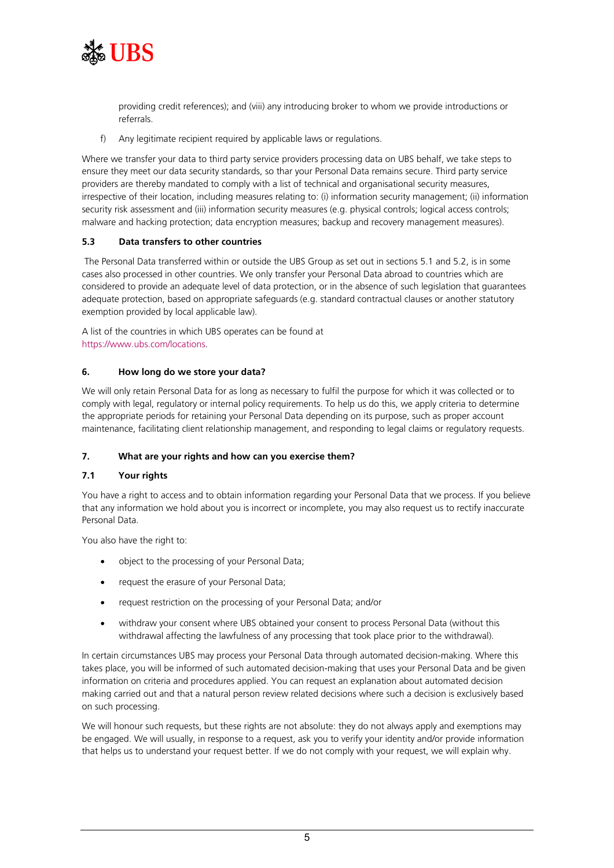

providing credit references); and (viii) any introducing broker to whom we provide introductions or referrals.

f) Any legitimate recipient required by applicable laws or regulations.

Where we transfer your data to third party service providers processing data on UBS behalf, we take steps to ensure they meet our data security standards, so thar your Personal Data remains secure. Third party service providers are thereby mandated to comply with a list of technical and organisational security measures, irrespective of their location, including measures relating to: (i) information security management; (ii) information security risk assessment and (iii) information security measures (e.g. physical controls; logical access controls; malware and hacking protection; data encryption measures; backup and recovery management measures).

# **5.3 Data transfers to other countries**

The Personal Data transferred within or outside the UBS Group as set out in sections 5.1 and 5.2, is in some cases also processed in other countries. We only transfer your Personal Data abroad to countries which are considered to provide an adequate level of data protection, or in the absence of such legislation that guarantees adequate protection, based on appropriate safeguards (e.g. standard contractual clauses or another statutory exemption provided by local applicable law).

A list of the countries in which UBS operates can be found at [https://www.ubs.com/locations.](https://www.ubs.com/locations)

#### **6. How long do we store your data?**

We will only retain Personal Data for as long as necessary to fulfil the purpose for which it was collected or to comply with legal, regulatory or internal policy requirements. To help us do this, we apply criteria to determine the appropriate periods for retaining your Personal Data depending on its purpose, such as proper account maintenance, facilitating client relationship management, and responding to legal claims or regulatory requests.

#### **7. What are your rights and how can you exercise them?**

#### **7.1 Your rights**

You have a right to access and to obtain information regarding your Personal Data that we process. If you believe that any information we hold about you is incorrect or incomplete, you may also request us to rectify inaccurate Personal Data.

You also have the right to:

- object to the processing of your Personal Data;
- request the erasure of your Personal Data;
- request restriction on the processing of your Personal Data; and/or
- withdraw your consent where UBS obtained your consent to process Personal Data (without this withdrawal affecting the lawfulness of any processing that took place prior to the withdrawal).

In certain circumstances UBS may process your Personal Data through automated decision-making. Where this takes place, you will be informed of such automated decision-making that uses your Personal Data and be given information on criteria and procedures applied. You can request an explanation about automated decision making carried out and that a natural person review related decisions where such a decision is exclusively based on such processing.

We will honour such requests, but these rights are not absolute: they do not always apply and exemptions may be engaged. We will usually, in response to a request, ask you to verify your identity and/or provide information that helps us to understand your request better. If we do not comply with your request, we will explain why.